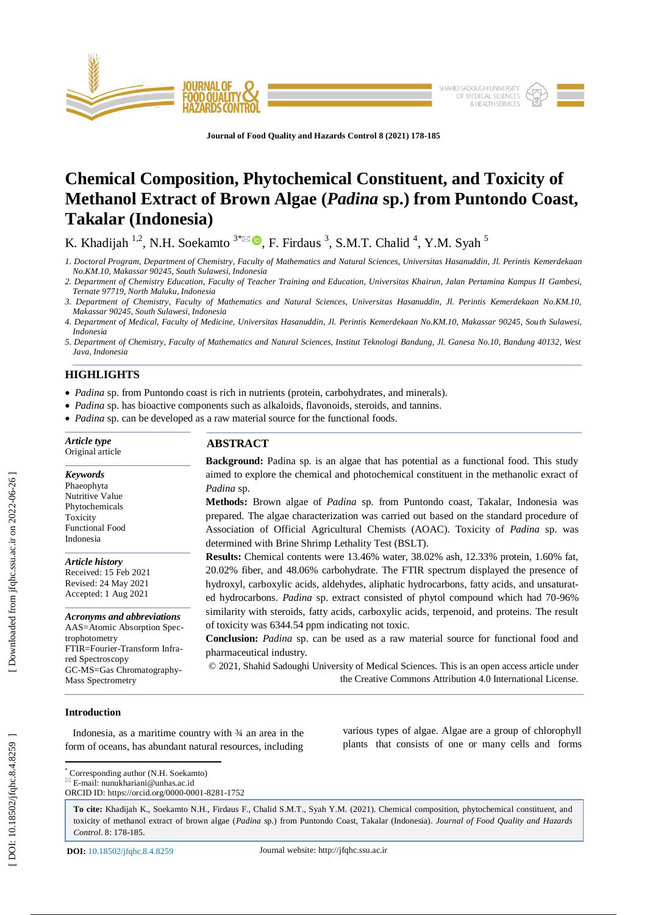

**Journal of Food Quality and Hazards Control 8 (2021) 178 - 185**

# **Chemical Composition, Phytochemical Constituent, and Toxicity of Methanol Extract of Brown Algae (***Padina* **sp.) from Puntondo Coast, Takalar (Indonesia)**

K. Khadijah <sup>1,2</sup>, N.H. Soekamto  $3^{*}\boxtimes$  **.**, F. Firdaus <sup>3</sup>, S.M.T. Chalid <sup>4</sup>, Y.M. Syah <sup>5</sup>

- *1. Doctoral Program, Department of Chemistry, Faculty of Mathematics and Natural Sciences, Universitas Hasanuddin, Jl. Perintis Kemerdekaan No.KM.10, Makassar 90245, South Sulawesi, Indonesia*
- *2. Department of Chemistry Education, Faculty of Teacher Training and Education, Universitas Khairun, Jalan Pertamina Kampus II Gambesi, Ternate 97719, North Maluku, Indonesia*
- *3. Department of Chemistry, Faculty of Mathematics and Natural Sciences, Universitas Hasanuddin, Jl. Perintis Kemerdekaan No.KM.10, Makassar 90245, South Sulawesi, Indonesia*
- *4. Department of Medical, Faculty of Medicine, Universitas Hasanuddin, Jl. Perintis Kemerdekaan No.KM.10, Makassar 90245, South Sulawesi, Indonesia*
- *5. Department of Chemistry, Faculty of Mathematics and Natural Sciences, Institut Teknologi Bandung, Jl. Ganesa No.10, Bandung 40132, West Java, Indonesia*

# **HIGHLIGHTS**

*Article type* Original article

*Keywords* Phaeophyta Nutritive Value Phytochemicals **Toxicity** Functional Food Indonesia

*Article history* Received: 15 Feb 2021 Revised: 24 May 2021 Accepted: 1 Aug 2021

*Acronyms and abbreviations* AAS=Atomic Absorption Spec-

FTIR=Fourier -Transform Infra-

GC -MS=Gas Chromatography -

- *Padina* sp. from Puntondo coast is rich in nutrients (protein, carbohydrates, and minerals).
- *Padina* sp. has bioactive components such as alkaloids, flavonoids, steroids, and tannins.
- *Padina* sp. can be developed as a raw material source for the functional foods.

## **ABSTRACT**

**Background:** Padina sp. is an algae that has potential as a functional food. This study aimed to explore the chemical and photochemical constituent in the methanolic exract of *Padina* sp.

**Methods:** Brown algae of *Padina* sp. from Puntondo coast, Takalar, Indonesia was prepared. The algae characterization was carried out based on the standard procedure of Association of Official Agricultural Chemists (AOAC). Toxicity of *Padina* sp. was determined with Brine Shrimp Lethality Test (BSLT).

**Results:** Chemical contents were 13.46% water, 38.02% ash, 12.33% protein, 1.60% fat, 20.02% fiber, and 48.06% carbohydrate. The FTIR spectrum displayed the presence of hydroxyl, carboxylic acids, aldehydes, aliphatic hydrocarbons, fatty acids, and unsaturated hydrocarbons. *Padina* sp. extract consisted of phytol compound which had 70-96% similarity with steroids, fatty acids, carboxylic acids, terpenoid, and proteins. The result of toxicity was 6344.54 ppm indicating not toxic.

**Conclusion:** *Padina* sp. can be used as a raw material source for functional food and pharmaceutical industry.

© 20 2 1, Shahid Sadoughi University of Medical Sciences. This is an open access article under the Creative Commons Attribution 4.0 International License.

## **Introduction**

trophotometry

red Spectroscopy

Mass Spectrometry

 Indonesia, as a maritime country with ¾ an area in the form of oceans, has abundant natural resources, including various types of algae. Algae are a group of chlorophyll plants that consists of one or many cells and forms

\* Corresponding author (N.H. Soekamto)

 $E$ -mail: nunukhariani@unhas.ac.id ORCID ID: https://orcid.org/0000 -0001 -8281 -1752

**To cite:** Khadijah K., Soekamto N.H., Firdaus F., Chalid S.M.T., Syah Y.M. (2021). Chemical composition, phytochemical constituent, and toxicity of methanol extract of brown algae (*Padina* sp.) from Puntondo Coast, Takalar (Indonesia). *Journal of Food Quality and Hazards*  Control. 8: 178-185.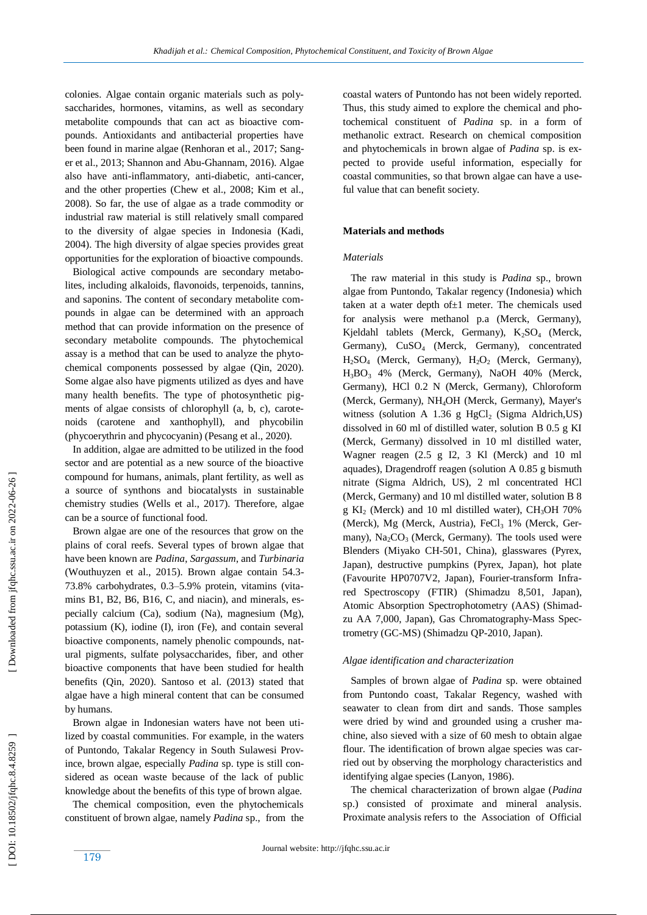colonies. Algae contain organic materials such as polysaccharides, hormones, vitamins, as well as secondary metabolite compounds that can act as bioactive compounds. Antioxidants and antibacterial properties have been found in marine algae (Renhoran et al., 2017; Sanger et al., 2013; Shannon and Abu-Ghannam, 2016). Algae also have anti -inflammatory, anti -diabetic, anti -cancer, and the other properties (Chew et al., 2008; Kim et al., 2008). So far, the use of algae as a trade commodity or industrial raw material is still relatively small compared to the diversity of algae species in Indonesia (Kadi, 2004). The high diversity of algae species provides great opportunities for the exploration of bioactive compounds.

 Biological active compounds are secondary metabolites, including alkaloids, flavonoids, terpenoids, tannins, and saponins. The content of secondary metabolite compounds in algae can be determined with an approach method that can provide information on the presence of secondary metabolite compounds. The phytochemical assay is a method that can be used to analyze the phytochemical components possessed by algae (Qin, 2020). Some algae also have pigments utilized as dyes and have many health benefits. The type of photosynthetic pigments of algae consists of chlorophyll (a, b, c), carotenoids (carotene and xanthophyll), and phycobilin (phycoerythrin and phycocyanin) (Pesang et al., 2020).

In addition, algae are admitted to be utilized in the food sector and are potential as a new source of the bioactive compound for humans, animals, plant fertility, as well as a source of synthons and biocatalysts in sustainable chemistry studies (Wells et al., 2017). Therefore, algae can be a source of functional food.

 Brown algae are one of the resources that grow on the plains of coral reefs. Several types of brown algae that have been known are *Padina*, *Sargassum*, and *Turbinaria* (Wouthuyzen et al., 2015). Brown algae contain 54.3 - 73.8% carbohydrates, 0.3 –5.9% protein, vitamins (vitamins B1, B2, B6, B16, C, and niacin), and minerals, especially calcium (Ca), sodium (Na), magnesium (Mg), potassium (K), iodine (I), iron (Fe), and contain several bioactive components, namely phenolic compounds, natural pigments, sulfate polysaccharides, fiber, and other bioactive components that have been studied for health benefits (Qin, 2020). Santoso et al. (2013) stated that algae have a high mineral content that can be consumed by humans.

 Brown algae in Indonesian waters have not been utilized by coastal communities. For example, in the waters of Puntondo, Takalar Regency in South Sulawesi Province, brown algae, especially *Padina* sp. type is still considered as ocean waste because of the lack of public knowledge about the benefits of this type of brown algae.

 The chemical composition, even the phytochemicals constituent of brown algae, namely *Padina* sp., from the coastal waters of Puntondo has not been widely reported. Thus, this study aimed to explore the chemical and photochemical constituent of *Padina* sp. in a form of methanolic extract. Research on chemical composition and phytochemicals in brown algae of *Padina* sp. is expected to provide useful information, especially for coastal communities, so that brown algae can have a useful value that can benefit society.

## **Materials and methods**

## *Materials*

 The raw material in this study is *Padina* sp., brown algae from Puntondo, Takalar regency (Indonesia) which taken at a water depth of $\pm 1$  meter. The chemicals used for analysis were methanol p.a (Merck, Germany), Kjeldahl tablets (Merck, Germany), K <sup>2</sup>SO <sup>4</sup> (Merck, Germany), CuSO <sup>4</sup> (Merck, Germany), concentrated H <sup>2</sup>SO <sup>4</sup> (Merck, Germany), H 2 O 2 (Merck, Germany), H <sup>3</sup>BO <sup>3</sup> 4% (Merck, Germany), NaOH 40% (Merck, Germany), HCl 0.2 N (Merck, Germany), Chloroform (Merck, Germany), NH <sup>4</sup>OH (Merck, Germany), Mayer's witness (solution A 1.36 g HgCl <sup>2</sup> (Sigma Aldrich,US) dissolved in 60 ml of distilled water, solution B 0.5 g KI (Merck, Germany) dissolved in 10 ml distilled water, Wagner reagen (2.5 g I2, 3 Kl (Merck) and 10 ml aquades), Dragendroff reagen (solution A 0.85 g bismuth nitrate (Sigma Aldrich, US), 2 ml concentrated HCl (Merck, Germany) and 10 ml distilled water, solution B 8 g KI <sup>2</sup> (Merck) and 10 ml distilled water), CH <sup>3</sup>OH 70% (Merck), Mg (Merck, Austria), FeCl <sup>3</sup> 1% (Merck, Germany),  $Na_2CO_3$  (Merck, Germany). The tools used were Blenders (Miyako CH -501, China), glasswares (Pyrex, Japan), destructive pumpkins (Pyrex, Japan), hot plate (Favourite HP0707V2, Japan), Fourier -transform Infrared Spectroscopy (FTIR) (Shimadzu 8,501, Japan), Atomic Absorption Spectrophotometry (AAS) (Shimadzu AA 7,000, Japan), Gas Chromatography-Mass Spectrometry (GC-MS) (Shimadzu QP-2010, Japan).

#### *Algae identification and characterization*

 Samples of brown algae of *Padina* sp. were obtained from Puntondo coast, Takalar Regency, washed with seawater to clean from dirt and sands. Those samples were dried by wind and grounded using a crusher machine, also sieved with a size of 60 mesh to obtain algae flour. The identification of brown algae species was carried out by observing the morphology characteristics and identifying algae species (Lanyon, 1986).

 The chemical characterization of brown algae (*Padina* sp.) consisted of proximate and mineral analysis. Proximate analysis refers to the Association of Official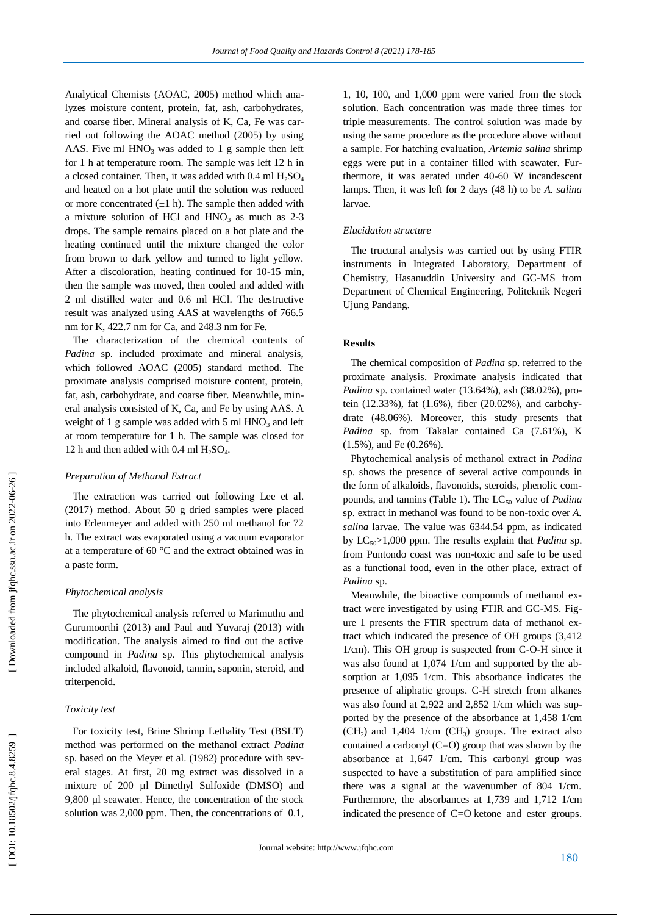Analytical Chemists (AOAC, 2005) method which analyzes moisture content, protein, fat, ash, carbohydrates, and coarse fiber. Mineral analysis of K, Ca, Fe was carried out following the AOAC method (2005) by using AAS. Five ml  $HNO<sub>3</sub>$  was added to 1 g sample then left for 1 h at temperature room. The sample was left 12 h in a closed container. Then, it was added with  $0.4$  ml  $H<sub>2</sub>SO<sub>4</sub>$ and heated on a hot plate until the solution was reduced or more concentrated  $(\pm 1 \text{ h})$ . The sample then added with a mixture solution of HCl and HNO<sub>3</sub> as much as 2-3 drops. The sample remains placed on a hot plate and the heating continued until the mixture changed the color from brown to dark yellow and turned to light yellow. After a discoloration, heating continued for 10 -15 min, then the sample was moved, then cooled and added with 2 ml distilled water and 0.6 ml HCl. The destructive result was analyzed using AAS at wavelengths of 766.5 nm for K, 422.7 nm for Ca, and 248.3 nm for Fe.

 The characterization of the chemical contents of *Padina* sp. included proximate and mineral analysis, which followed AOAC (2005) standard method. The proximate analysis comprised moisture content, protein, fat, ash, carbohydrate, and coarse fiber. Meanwhile, mineral analysis consisted of K, Ca, and Fe by using AAS. A weight of 1 g sample was added with 5 ml HNO<sub>3</sub> and left at room temperature for 1 h. The sample was closed for 12 h and then added with  $0.4$  ml  $H_2SO_4$ .

## *Preparation of Methanol Extract*

 The extraction was carried out following Lee et al. (2017) method. About 50 g dried samples were placed into Erlenmeyer and added with 250 ml methanol for 72 h. The extract was evaporated using a vacuum evaporator at a temperature of 60 °C and the extract obtained was in a paste form.

## *Phytochemical analysis*

 The phytochemical analysis referred to Marimuthu and Gurumoorthi (2013) and Paul and Yuvaraj (2013) with modification. The analysis aimed to find out the active compound in *Padina* sp. This phytochemical analysis included alkaloid, flavonoid, tannin, saponin, steroid, and triterpenoid.

#### *Toxicity test*

 For toxicity test, Brine Shrimp Lethality Test (BSLT) method was performed on the methanol extract *Padina* sp. based on the Meyer et al. (1982) procedure with several stages. At first, 20 mg extract was dissolved in a mixture of 200 µl Dimethyl Sulfoxide (DMSO) and 9,800 ul seawater. Hence, the concentration of the stock solution was 2,000 ppm. Then, the concentrations of 0.1, 1, 10, 100, and 1,000 ppm were varied from the stock solution. Each concentration was made three times for triple measurements. The control solution was made by using the same procedure as the procedure above without a sample. For hatching evaluation, *Artemia salina* shrimp eggs were put in a container filled with seawater. Furthermore, it was aerated under 40-60 W incandescent lamps. Then, it was left for 2 days (48 h) to be *A. salina* larvae.

## *Elucidation structure*

 The tructural analysis was carried out by using FTIR instruments in Integrated Laboratory, Department of Chemistry, Hasanuddin University and GC -MS from Department of Chemical Engineering, Politeknik Negeri Ujung Pandang.

## **Results**

 The chemical composition of *Padina* sp. referred to the proximate analysis. Proximate analysis indicated that *Padina* sp. contained water (13.64%), ash (38.02%), protein (12.33%), fat (1.6%), fiber (20.02%), and carbohydrate (48.06%). Moreover, this study presents that *Padina* sp. from Takalar contained Ca (7.61%), K (1.5%), and Fe (0.26%).

 Phytochemical analysis of methanol extract in *Padina* sp. shows the presence of several active compounds in the form of alkaloids, flavonoids, steroids, phenolic compounds, and tannins (Table 1). The LC<sub>50</sub> value of *Padina* sp. extract in methanol was found to be non -toxic over *A. salina* larvae. The value was 6344.54 ppm, as indicated by LC<sub>50</sub>>1,000 ppm. The results explain that *Padina* sp. from Puntondo coast was non -toxic and safe to be used as a functional food, even in the other place, extract of *Padina* sp.

 Meanwhile, the bioactive compounds of methanol extract were investigated by using FTIR and GC-MS. Figure 1 presents the FTIR spectrum data of methanol extract which indicated the presence of OH groups (3,412 1/cm). This OH group is suspected from C-O-H since it was also found at 1,074 1/cm and supported by the absorption at 1,095 1/cm. This absorbance indicates the presence of aliphatic groups. C -H stretch from alkanes was also found at 2,922 and 2,852 1/cm which was supported by the presence of the absorbance at 1,458 1/cm (CH 2 ) and 1,404 1/cm (CH <sup>3</sup>) groups. The extract also contained a carbonyl  $(C=O)$  group that was shown by the absorbance at 1,647 1/cm. This carbonyl group was suspected to have a substitution of para amplified since there was a signal at the wavenumber of 804 1/cm. Furthermore, the absorbances at 1,739 and 1,712 1/cm indicated the presence of C=O ketone and ester groups.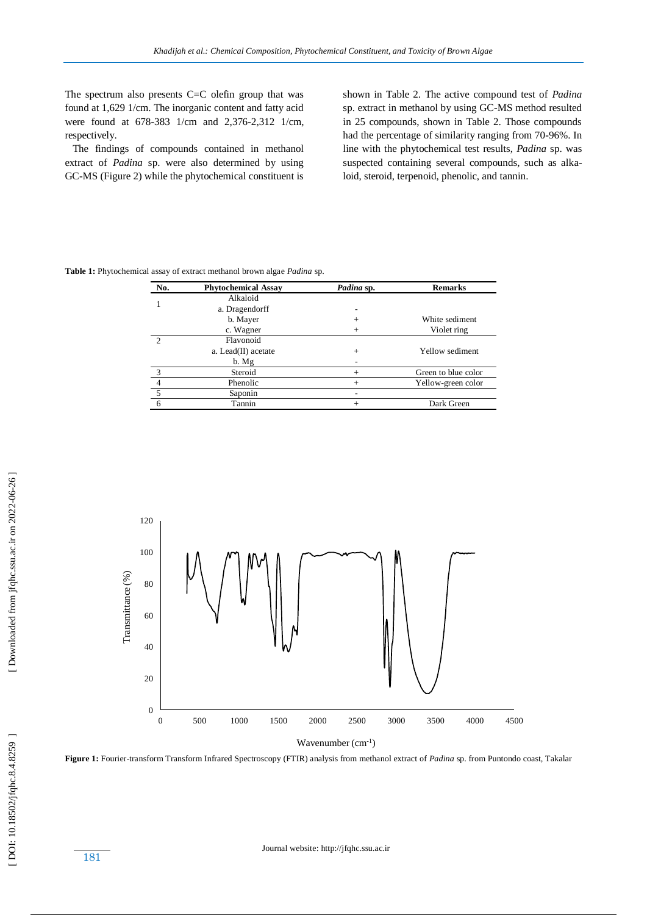The spectrum also presents C=C olefin group that was found at 1,629 1/cm. The inorganic content and fatty acid were found at 678 -383 1/cm and 2,376 -2,312 1/cm, respectively.

 The findings of compounds contained in methanol extract of *Padina* sp. were also determined by using GC -MS (Figure 2) while the phytochemical constituent is

shown in Table 2. The active compound test of *Padina* sp. extract in methanol by using GC -MS method resulted in 25 compounds, shown in Table 2. Those compounds had the percentage of similarity ranging from 70 -96%. In line with the phytochemical test results, *Padina* sp. was suspected containing several compounds, such as alkaloid, steroid, terpenoid, phenolic, and tannin.

**Table 1:** Phytochemical assay of extract methanol brown algae *Padina* sp.

| No.            | <b>Phytochemical Assay</b> | Padina sp. | <b>Remarks</b>      |  |
|----------------|----------------------------|------------|---------------------|--|
|                | Alkaloid                   |            |                     |  |
|                | a. Dragendorff             | ۰          |                     |  |
|                | b. Mayer                   | $^{+}$     | White sediment      |  |
|                | c. Wagner                  | $^{+}$     | Violet ring         |  |
| $\mathcal{D}$  | Flavonoid                  |            |                     |  |
|                | a. Lead(II) acetate        | $+$        | Yellow sediment     |  |
|                | b. Mg                      |            |                     |  |
| $\mathcal{R}$  | Steroid                    | $+$        | Green to blue color |  |
| $\overline{4}$ | Phenolic                   | $+$        | Yellow-green color  |  |
| 5              | Saponin                    |            |                     |  |
|                | Tannin                     | $+$        | Dark Green          |  |

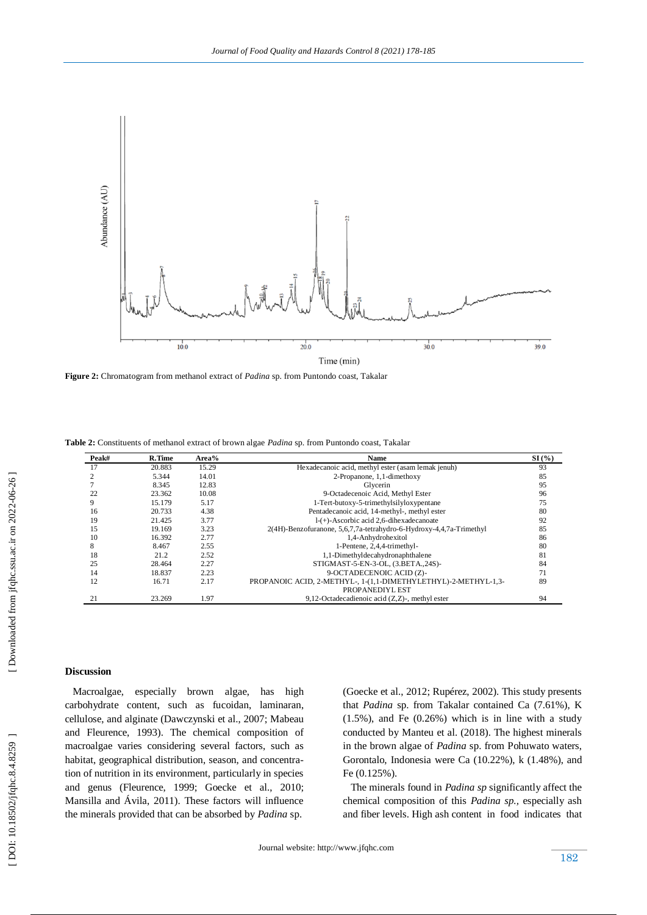

**Figure 2:** Chromatogram from methanol extract of *Padina* sp. from Puntondo coast, Takalar

**Table 2:** Constituents of methanol extract of brown algae *Padina* sp. from Puntondo coast, Takalar

| Peak#          | R.Time | Area% | <b>Name</b>                                                                       | SI(%) |
|----------------|--------|-------|-----------------------------------------------------------------------------------|-------|
| 17             | 20.883 | 15.29 | Hexadecanoic acid, methyl ester (asam lemak jenuh)                                | 93    |
| $\mathfrak{D}$ | 5.344  | 14.01 | 2-Propanone, 1,1-dimethoxy                                                        | 85    |
|                | 8.345  | 12.83 | Glycerin                                                                          | 95    |
| 22             | 23.362 | 10.08 | 9-Octadecenoic Acid, Methyl Ester                                                 | 96    |
| 9              | 15.179 | 5.17  | 1-Tert-butoxy-5-trimethylsilyloxypentane                                          | 75    |
| 16             | 20.733 | 4.38  | Pentadecanoic acid, 14-methyl-, methyl ester                                      | 80    |
| 19             | 21.425 | 3.77  | $1-(+)$ -Ascorbic acid 2,6-dihexadecanoate                                        | 92    |
| 15             | 19.169 | 3.23  | 2(4H)-Benzofuranone, 5,6,7,7a-tetrahydro-6-Hydroxy-4,4,7a-Trimethyl               | 85    |
| 10             | 16.392 | 2.77  | 1,4-Anhydrohexitol                                                                | 86    |
| 8              | 8.467  | 2.55  | 1-Pentene, 2,4,4-trimethyl-                                                       | 80    |
| 18             | 21.2   | 2.52  | 1,1-Dimethyldecahydronaphthalene                                                  | 81    |
| 25             | 28.464 | 2.27  | STIGMAST-5-EN-3-OL, (3.BETA., 24S)-                                               | 84    |
| 14             | 18.837 | 2.23  | 9-OCTADECENOIC ACID (Z)-                                                          | 71    |
| 12             | 16.71  | 2.17  | PROPANOIC ACID, 2-METHYL-, 1-(1,1-DIMETHYLETHYL)-2-METHYL-1,3-<br>PROPANEDIYL EST | 89    |
| 21             | 23.269 | 1.97  | 9,12-Octadecadienoic acid $(Z,Z)$ -, methyl ester                                 | 94    |

## **Discussion**

 Macroalgae, especially brown algae, has high carbohydrate content, such as fucoidan, laminaran, cellulose, and alginate (Dawczynski et al., 2007; Mabeau and Fleurence, 1993). The chemical composition of macroalgae varies considering several factors, such as habitat, geographical distribution, season, and concentration of nutrition in its environment, particularly in species and genus (Fleurence, 1999; Goecke et al., 2010; Mansilla and Ávila, 2011). These factors will influence the minerals provided that can be absorbed by *Padina* sp.

(Goecke et al., 2012; Rupérez, 2002). This study presents that *Padina* sp. from Takalar contained Ca (7.61%), K (1.5%), and Fe (0.26%) which is in line with a study conducted by Manteu et al. (2018). The highest minerals in the brown algae of *Padina* sp. from Pohuwato waters, Gorontalo, Indonesia were Ca (10.22%), k (1.48%), and Fe (0.125%).

 The minerals found in *Padina sp* significantly affect the chemical composition of this *Padina sp.,* especially ash and fiber levels. High ash content in food indicates that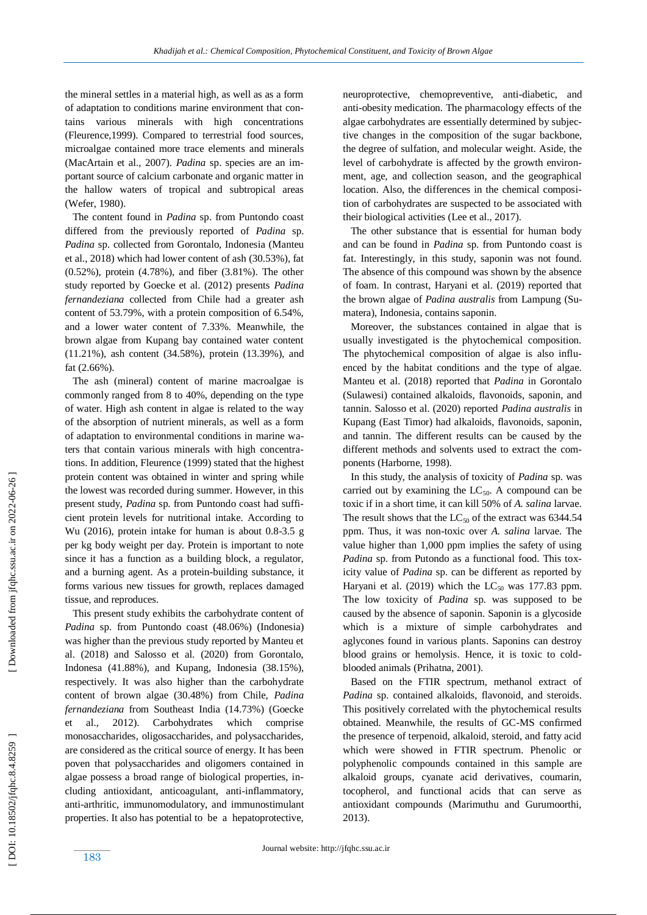the mineral settles in a material high, as well as as a form of adaptation to conditions marine environment that contains various minerals with high concentrations (Fleurence,1999). Compared to terrestrial food sources, microalgae contained more trace elements and minerals (MacArtain et al., 2007). *Padina* sp. species are an important source of calcium carbonate and organic matter in the hallow waters of tropical and subtropical areas (Wefer, 1980).

 The content found in *Padina* sp. from Puntondo coast differed from the previously reported of *Padina* sp. *Padina* sp. collected from Gorontalo, Indonesia (Manteu et al., 2018) which had lower content of ash (30.53%), fat (0.52%), protein (4.78%), and fiber (3.81%). The other study reported by Goecke et al. (2012) presents *Padina fernandeziana* collected from Chile had a greater ash content of 53.79%, with a protein composition of 6.54%, and a lower water content of 7.33%. Meanwhile, the brown algae from Kupang bay contained water content (11.21%), ash content (34.58%), protein (13.39%), and fat (2.66%).

 The ash (mineral) content of marine macroalgae is commonly ranged from 8 to 40%, depending on the type of water. High ash content in algae is related to the way of the absorption of nutrient minerals, as well as a form of adaptation to environmental conditions in marine waters that contain various minerals with high concentrations. In addition, Fleurence (1999) stated that the highest protein content was obtained in winter and spring while the lowest was recorded during summer. However, in this present study, *Padina* sp. from Puntondo coast had sufficient protein levels for nutritional intake. According to Wu (2016), protein intake for human is about 0.8 -3.5 g per kg body weight per day. Protein is important to note since it has a function as a building block, a regulator, and a burning agent. As a protein -building substance, it forms various new tissues for growth, replaces damaged tissue, and reproduces.

 This present study exhibits the carbohydrate content of Padina sp. from Puntondo coast (48.06%) (Indonesia) was higher than the previous study reported by Manteu et al. (2018) and Salosso et al *.* (2020) from Gorontalo, Indonesa (41.88%), and Kupang, Indonesia (38.15%), respectively. It was also higher than the carbohydrate content of brown algae (30.48%) from Chile, *Padina fernandeziana* from Southeast India (14.73%) (Goecke et al., 2012). Carbohydrates which comprise monosaccharides, oligosaccharides, and polysaccharides, are considered as the critical source of energy. It has been poven that polysaccharides and oligomers contained in algae possess a broad range of biological properties, including antioxidant, anticoagulant, anti-inflammatory, anti -arthritic, immunomodulatory, and immunostimulant properties. It also has potential to be a hepatoprotective, neuroprotective, chemopreventive, anti -diabetic, and anti -obesity medication. The pharmacology effects of the algae carbohydrates are essentially determined by subjective changes in the composition of the sugar backbone, the degree of sulfation, and molecular weight. Aside, the level of carbohydrate is affected by the growth environment, age, and collection season, and the geographical location. Also, the differences in the chemical composition of carbohydrates are suspected to be associated with their biological activities (Lee et al., 2017).

 The other substance that is essential for human body and can be found in *Padina* sp. from Puntondo coast is fat. Interestingly, in this study, saponin was not found. The absence of this compound was shown by the absence of foam. In contrast, Haryani et al. (2019) reported that the brown algae of *Padina australis* from Lampung (Sumatera), Indonesia, contains saponin.

 Moreover, the substances contained in algae that is usually investigated is the phytochemical composition. The phytochemical composition of algae is also influenced by the habitat conditions and the type of algae. Manteu et al. (2018) reported that *Padina* in Gorontalo (Sulawesi) contained alkaloids, flavonoids, saponin, and tannin. Salosso et al. (2020) reported *Padina australis* in Kupang (East Timor) had alkaloids, flavonoids, saponin, and tannin. The different results can be caused by the different methods and solvents used to extract the components (Harborne, 1998).

 In this study, the analysis of toxicity of *Padina* sp *.* was carried out by examining the  $LC_{50}$ . A compound can be toxic if in a short time, it can kill 50% of *A. salina* larvae. The result shows that the  $LC_{50}$  of the extract was 6344.54 ppm. Thus, it was non -toxic over *A. salina* larvae. The value higher than 1,000 ppm implies the safety of using *Padina* sp. from Putondo as a functional food. This toxicity value of *Padina* sp. can be different as reported by Haryani et al. (2019) which the  $LC_{50}$  was 177.83 ppm. The low toxicity of *Padina* sp *.* was supposed to be caused by the absence of saponin. Saponin is a glycoside which is a mixture of simple carbohydrates and aglycones found in various plants. Saponins can destroy blood grains or hemolysis. Hence, it is toxic to cold blooded animals (Prihatna, 2001).

 Based on the FTIR spectrum, methanol extract of *Padina* sp*.* contained alkaloids, flavonoid, and steroids. This positively correlated with the phytochemical results obtained. Meanwhile, the results of GC -MS confirmed the presence of terpenoid, alkaloid, steroid, and fatty acid which were showed in FTIR spectrum. Phenolic or polyphenolic compounds contained in this sample are alkaloid groups, cyanate acid derivatives, coumarin, tocopherol, and functional acids that can serve as antioxidant compounds (Marimuthu and Gurumoorthi, 2013).

183

DOI: 10.18502/jfqhc.8.4.8259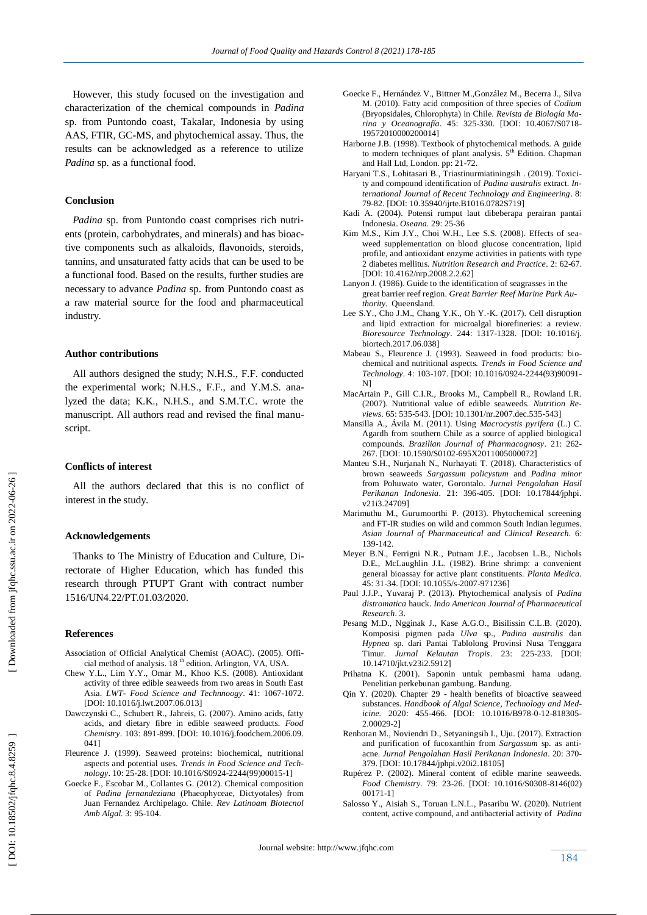However, this study focused on the investigation and characterization of the chemical compounds in *Padina*  sp. from Puntondo coast, Takalar, Indonesia by using AAS, FTIR, GC -MS, and phytochemical assay. Thus, the results can be acknowledged as a reference to utilize *Padina* sp *.* as a functional food.

#### **Conclusion**

 *Padina* sp. from Puntondo coast comprises rich nutrients (protein, carbohydrates, and minerals) and has bioactive components such as alkaloids, flavonoids, steroids, tannins, and unsaturated fatty acids that can be used to be a functional food. Based on the results, further studies are necessary to advance *Padina* sp. from Puntondo coast as a raw material source for the food and pharmaceutical industry .

#### **Author contributions**

 All authors designed the study; N.H.S., F.F. conducted the experimental work; N.H.S., F.F., and Y.M.S. analyzed the data; K.K., N.H.S., and S.M.T.C. wrote the manuscript. All authors read and revised the final manuscript.

#### **Conflicts of interest**

 All the authors declared that this is no conflict of interest in the study.

#### **Acknowledgements**

 Thanks to The Ministry of Education and Culture, Directorate of Higher Education, which has funded this research through PTUPT Grant with contract number 1516/UN4.22/PT.01.03/2020.

#### **Reference s**

- Association of Official Analytical Chemist (AOAC). (2005). Official method of analysis. 18<sup>th</sup> edition. Arlington, VA, USA.
- Chew Y.L., Lim Y.Y., Omar M., Khoo K.S. (2008). Antioxidant activity of three edible seaweeds from two areas in South East Asia. *LWT- Food Science and Technnoogy*. 41: 1067 -1072. [DOI: 10.1016/j.lwt.2007.06.013]
- Dawczynski C., Schubert R., Jahreis, G. (2007). Amino acids, fatty acids, and dietary fibre in edible seaweed products. *Food Chemistry*. 103: 891 -899. [DOI: 10.1016/j.foodchem.2006.09. 041]
- Fleurence J. (1999). Seaweed proteins: biochemical, nutritional aspects and potential uses. *Trends in Food Science and Technology*. 10: 25-28. [DOI: 10.1016/S0924-2244(99)00015-1]
- Goecke F., Escobar M., Collantes G. (2012). Chemical composition of *Padina fernandeziana* (Phaeophyceae, Dictyotales) from Juan Fernandez Archipelago. Chile*. Rev Latinoam Biotecnol Amb Algal.* 3: 95 -104.
- Goecke F., Hernández V., Bittner M.,González M., Becerra J., Silva M. (2010). Fatty acid composition of three species of *Codium* (Bryopsidales, Chlorophyta) in Chile. *Revista de Biología Marina y Oceanografía*. 45: 325-330. [DOI: 10.4067/S0718- 19572010000200014]
- Harborne J.B. (1998). Textbook of phytochemical methods. A guide to modern techniques of plant analysis. 5<sup>th</sup> Edition. Chapman and Hall Ltd, London. pp: 21 -72.
- Haryani T.S., Lohitasari B., Triastinurmiatiningsih . (2019). Toxicity and compound identification of *Padina australis* extract. *International Journal of Recent Technology and Engineering*. 8: 79 -82. [DOI: 10.35940/ijrte.B1016.0782S719]
- Kadi A. (2004). Potensi rumput laut dibeberapa perairan pantai Indonesia. *Oseana.* 29: 25 -36
- Kim M.S., Kim J.Y., Choi W.H., Lee S.S. (2008). Effects of seaweed supplementation on blood glucose concentration, lipid profile, and antioxidant enzyme activities in patients with type 2 diabetes mellitus. *Nutrition Research and Practice*. 2: 62 -67. [DOI: 10.4162/nrp.2008.2.2.62]
- Lanyon J. (1986). Guide to the identification of seagrasses in the great barrier reef region. *Great Barrier Reef Marine Park Authority.* Queensland.
- Lee S.Y., Cho J.M., Chang Y.K., Oh Y. -K. (2017). Cell disruption and lipid extraction for microalgal biorefineries: a review. *Bioresource Technology*. 244: 1317 -1328. [DOI: 10.1016/j. biortech.2017.06.038]
- Mabeau S., Fleurence J. (1993). Seaweed in food products: biochemical and nutritional aspects. *Trends in Food Science and Technology*. 4: 103 -107. [DOI: 10.1016/0924 -2244(93)90091 - N]
- MacArtain P., Gill C.I.R., Brooks M., Campbell R., Rowland I.R. (2007). Nutritional value of edible seaweeds. *Nutrition Reviews*. 65: 535-543. [DOI: 10.1301/nr.2007.dec.535-543]
- Mansilla A., Ávila M. (2011). Using *Macrocystis pyrifera* (L.) C. Agardh from southern Chile as a source of applied biological compounds. *Brazilian Journal of Pharmacognosy*. 21: 262 - 267. [DOI: 10.1590/S0102 -695X2011005000072]
- Manteu S.H., Nurjanah N., Nurhayati T. (2018). Characteristics of brown seaweeds *Sargassum policystum* and *Padina minor* from Pohuwato water, Gorontalo. *Jurnal Pengolahan Hasil Perikanan Indonesia* . 21: 396 -405. [DOI: 10.17844/jphpi. v21i3.24709]
- Marimuthu M., Gurumoorthi P. (2013). Phytochemical screening and FT -IR studies on wild and common South Indian legumes. *Asian Journal of Pharmaceutical and Clinical Research.* 6: 139 -142.
- Meyer B.N., Ferrigni N.R., Putnam J.E., Jacobsen L.B., Nichols D.E., McLaughlin J.L. (1982). Brine shrimp: a convenient general bioassay for active plant constituents. *Planta Medica*. 45: 31 -34. [DOI: 10.1055/s -2007 -971236]
- Paul J.J.P., Yuvaraj P. (2013). Phytochemical analysis of *Padina distromatica* hauck. *Indo American Journal of Pharmaceutical Research*. 3.
- Pesang M.D., Ngginak J., Kase A.G.O., Bisilissin C.L.B. (2020). Komposisi pigmen pada *Ulva* sp., *Padina australis* dan *Hypnea* sp. dari Pantai Tablolong Provinsi Nusa Tenggara Timur. *Jurnal Kelautan Tropis*. 23: 225 -233. [DOI: 10.14710/jkt.v23i2.5912]
- Prihatna K. (2001). Saponin untuk pembasmi hama udang. Penelitian perkebunan gambung. Bandung.
- Qin Y. (2020). Chapter 29 health benefits of bioactive seaweed substances. *Handbook of Algal Science, Technology and Medicine.* 2020: 455-466. [DOI: 10.1016/B978-0-12-818305- 2.00029 -2]
- Renhoran M., Noviendri D., Setyaningsih I., Uju. (2017). Extraction and purification of fucoxanthin from *Sargassum* sp. as anti acne. *Jurnal Pengolahan Hasil Perikanan Indonesia*. 20: 370 - 379. [DOI: 10.17844/jphpi.v20i2.18105]
- Rupérez P. (2002). Mineral content of edible marine seaweeds. *Food Chemistry.* 79: 23 -26. [DOI: 10.1016/S0308 -8146(02) 00171 -1]
- Salosso Y., Aisiah S., Toruan L.N.L., Pasaribu W. (2020). Nutrient content, active compound, and antibacterial activity of *Padina*